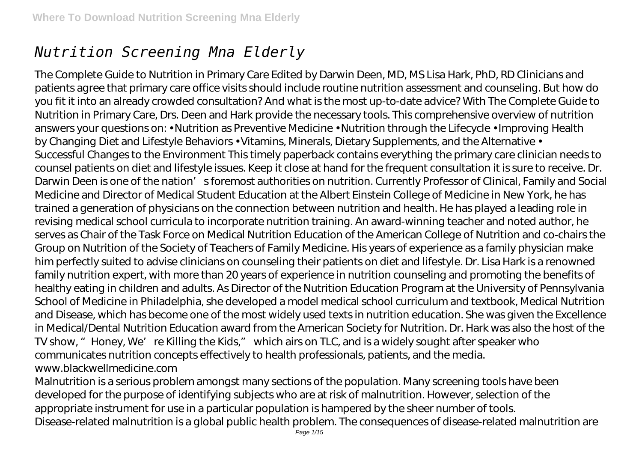# *Nutrition Screening Mna Elderly*

The Complete Guide to Nutrition in Primary Care Edited by Darwin Deen, MD, MS Lisa Hark, PhD, RD Clinicians and patients agree that primary care office visits should include routine nutrition assessment and counseling. But how do you fit it into an already crowded consultation? And what is the most up-to-date advice? With The Complete Guide to Nutrition in Primary Care, Drs. Deen and Hark provide the necessary tools. This comprehensive overview of nutrition answers your questions on: • Nutrition as Preventive Medicine • Nutrition through the Lifecycle • Improving Health by Changing Diet and Lifestyle Behaviors • Vitamins, Minerals, Dietary Supplements, and the Alternative • Successful Changes to the Environment This timely paperback contains everything the primary care clinician needs to counsel patients on diet and lifestyle issues. Keep it close at hand for the frequent consultation it is sure to receive. Dr. Darwin Deen is one of the nation' sforemost authorities on nutrition. Currently Professor of Clinical, Family and Social Medicine and Director of Medical Student Education at the Albert Einstein College of Medicine in New York, he has trained a generation of physicians on the connection between nutrition and health. He has played a leading role in revising medical school curricula to incorporate nutrition training. An award-winning teacher and noted author, he serves as Chair of the Task Force on Medical Nutrition Education of the American College of Nutrition and co-chairs the Group on Nutrition of the Society of Teachers of Family Medicine. His years of experience as a family physician make him perfectly suited to advise clinicians on counseling their patients on diet and lifestyle. Dr. Lisa Hark is a renowned family nutrition expert, with more than 20 years of experience in nutrition counseling and promoting the benefits of healthy eating in children and adults. As Director of the Nutrition Education Program at the University of Pennsylvania School of Medicine in Philadelphia, she developed a model medical school curriculum and textbook, Medical Nutrition and Disease, which has become one of the most widely used texts in nutrition education. She was given the Excellence in Medical/Dental Nutrition Education award from the American Society for Nutrition. Dr. Hark was also the host of the TV show, "Honey, We're Killing the Kids," which airs on TLC, and is a widely sought after speaker who communicates nutrition concepts effectively to health professionals, patients, and the media. www.blackwellmedicine.com

Malnutrition is a serious problem amongst many sections of the population. Many screening tools have been developed for the purpose of identifying subjects who are at risk of malnutrition. However, selection of the appropriate instrument for use in a particular population is hampered by the sheer number of tools. Disease-related malnutrition is a global public health problem. The consequences of disease-related malnutrition are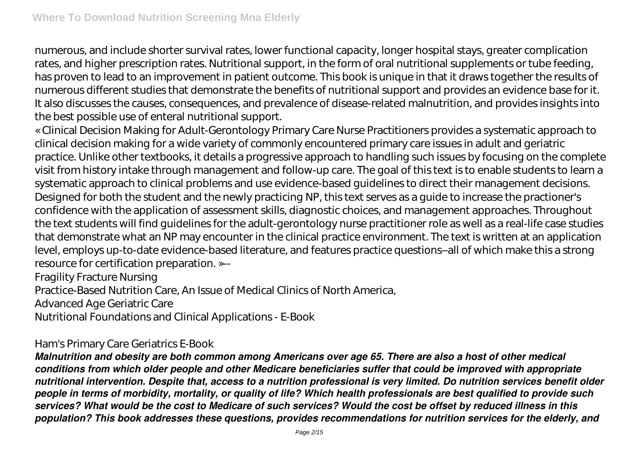numerous, and include shorter survival rates, lower functional capacity, longer hospital stays, greater complication rates, and higher prescription rates. Nutritional support, in the form of oral nutritional supplements or tube feeding, has proven to lead to an improvement in patient outcome. This book is unique in that it draws together the results of numerous different studies that demonstrate the benefits of nutritional support and provides an evidence base for it. It also discusses the causes, consequences, and prevalence of disease-related malnutrition, and provides insights into the best possible use of enteral nutritional support.

« Clinical Decision Making for Adult-Gerontology Primary Care Nurse Practitioners provides a systematic approach to clinical decision making for a wide variety of commonly encountered primary care issues in adult and geriatric practice. Unlike other textbooks, it details a progressive approach to handling such issues by focusing on the complete visit from history intake through management and follow-up care. The goal of this text is to enable students to learn a systematic approach to clinical problems and use evidence-based guidelines to direct their management decisions. Designed for both the student and the newly practicing NP, this text serves as a guide to increase the practioner's confidence with the application of assessment skills, diagnostic choices, and management approaches. Throughout the text students will find guidelines for the adult-gerontology nurse practitioner role as well as a real-life case studies that demonstrate what an NP may encounter in the clinical practice environment. The text is written at an application level, employs up-to-date evidence-based literature, and features practice questions–all of which make this a strong resource for certification preparation. »--

Fragility Fracture Nursing

Practice-Based Nutrition Care, An Issue of Medical Clinics of North America,

Advanced Age Geriatric Care

Nutritional Foundations and Clinical Applications - E-Book

## Ham's Primary Care Geriatrics E-Book

*Malnutrition and obesity are both common among Americans over age 65. There are also a host of other medical conditions from which older people and other Medicare beneficiaries suffer that could be improved with appropriate nutritional intervention. Despite that, access to a nutrition professional is very limited. Do nutrition services benefit older people in terms of morbidity, mortality, or quality of life? Which health professionals are best qualified to provide such services? What would be the cost to Medicare of such services? Would the cost be offset by reduced illness in this population? This book addresses these questions, provides recommendations for nutrition services for the elderly, and*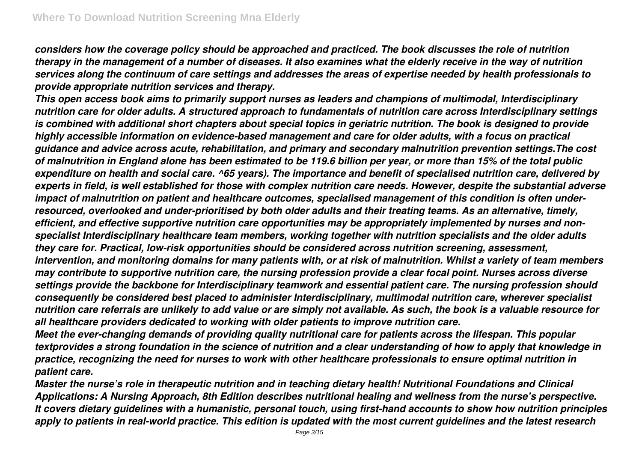*considers how the coverage policy should be approached and practiced. The book discusses the role of nutrition therapy in the management of a number of diseases. It also examines what the elderly receive in the way of nutrition services along the continuum of care settings and addresses the areas of expertise needed by health professionals to provide appropriate nutrition services and therapy.*

*This open access book aims to primarily support nurses as leaders and champions of multimodal, Interdisciplinary nutrition care for older adults. A structured approach to fundamentals of nutrition care across Interdisciplinary settings is combined with additional short chapters about special topics in geriatric nutrition. The book is designed to provide highly accessible information on evidence-based management and care for older adults, with a focus on practical guidance and advice across acute, rehabilitation, and primary and secondary malnutrition prevention settings.The cost of malnutrition in England alone has been estimated to be 119.6 billion per year, or more than 15% of the total public expenditure on health and social care. ^65 years). The importance and benefit of specialised nutrition care, delivered by experts in field, is well established for those with complex nutrition care needs. However, despite the substantial adverse impact of malnutrition on patient and healthcare outcomes, specialised management of this condition is often underresourced, overlooked and under-prioritised by both older adults and their treating teams. As an alternative, timely, efficient, and effective supportive nutrition care opportunities may be appropriately implemented by nurses and nonspecialist Interdisciplinary healthcare team members, working together with nutrition specialists and the older adults they care for. Practical, low-risk opportunities should be considered across nutrition screening, assessment, intervention, and monitoring domains for many patients with, or at risk of malnutrition. Whilst a variety of team members may contribute to supportive nutrition care, the nursing profession provide a clear focal point. Nurses across diverse settings provide the backbone for Interdisciplinary teamwork and essential patient care. The nursing profession should consequently be considered best placed to administer Interdisciplinary, multimodal nutrition care, wherever specialist nutrition care referrals are unlikely to add value or are simply not available. As such, the book is a valuable resource for all healthcare providers dedicated to working with older patients to improve nutrition care.*

*Meet the ever-changing demands of providing quality nutritional care for patients across the lifespan. This popular textprovides a strong foundation in the science of nutrition and a clear understanding of how to apply that knowledge in practice, recognizing the need for nurses to work with other healthcare professionals to ensure optimal nutrition in patient care.*

*Master the nurse's role in therapeutic nutrition and in teaching dietary health! Nutritional Foundations and Clinical Applications: A Nursing Approach, 8th Edition describes nutritional healing and wellness from the nurse's perspective. It covers dietary guidelines with a humanistic, personal touch, using first-hand accounts to show how nutrition principles apply to patients in real-world practice. This edition is updated with the most current guidelines and the latest research*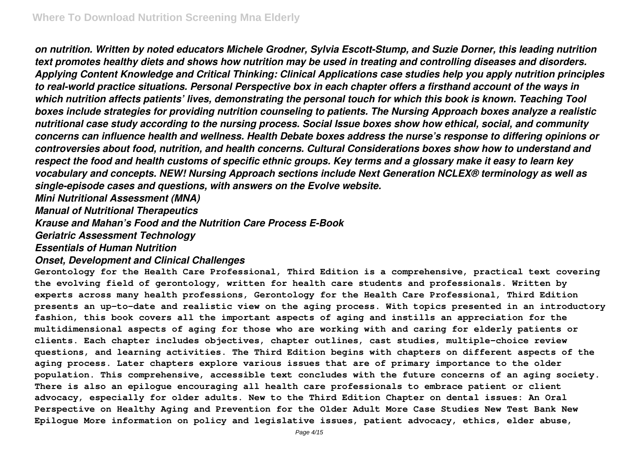*on nutrition. Written by noted educators Michele Grodner, Sylvia Escott-Stump, and Suzie Dorner, this leading nutrition text promotes healthy diets and shows how nutrition may be used in treating and controlling diseases and disorders. Applying Content Knowledge and Critical Thinking: Clinical Applications case studies help you apply nutrition principles to real-world practice situations. Personal Perspective box in each chapter offers a firsthand account of the ways in which nutrition affects patients' lives, demonstrating the personal touch for which this book is known. Teaching Tool boxes include strategies for providing nutrition counseling to patients. The Nursing Approach boxes analyze a realistic nutritional case study according to the nursing process. Social Issue boxes show how ethical, social, and community concerns can influence health and wellness. Health Debate boxes address the nurse's response to differing opinions or controversies about food, nutrition, and health concerns. Cultural Considerations boxes show how to understand and respect the food and health customs of specific ethnic groups. Key terms and a glossary make it easy to learn key vocabulary and concepts. NEW! Nursing Approach sections include Next Generation NCLEX® terminology as well as single-episode cases and questions, with answers on the Evolve website.*

*Mini Nutritional Assessment (MNA)*

*Manual of Nutritional Therapeutics*

*Krause and Mahan's Food and the Nutrition Care Process E-Book*

*Geriatric Assessment Technology*

*Essentials of Human Nutrition*

*Onset, Development and Clinical Challenges*

**Gerontology for the Health Care Professional, Third Edition is a comprehensive, practical text covering the evolving field of gerontology, written for health care students and professionals. Written by experts across many health professions, Gerontology for the Health Care Professional, Third Edition presents an up-to-date and realistic view on the aging process. With topics presented in an introductory fashion, this book covers all the important aspects of aging and instills an appreciation for the multidimensional aspects of aging for those who are working with and caring for elderly patients or clients. Each chapter includes objectives, chapter outlines, cast studies, multiple-choice review questions, and learning activities. The Third Edition begins with chapters on different aspects of the aging process. Later chapters explore various issues that are of primary importance to the older population. This comprehensive, accessible text concludes with the future concerns of an aging society. There is also an epilogue encouraging all health care professionals to embrace patient or client advocacy, especially for older adults. New to the Third Edition Chapter on dental issues: An Oral Perspective on Healthy Aging and Prevention for the Older Adult More Case Studies New Test Bank New Epilogue More information on policy and legislative issues, patient advocacy, ethics, elder abuse,**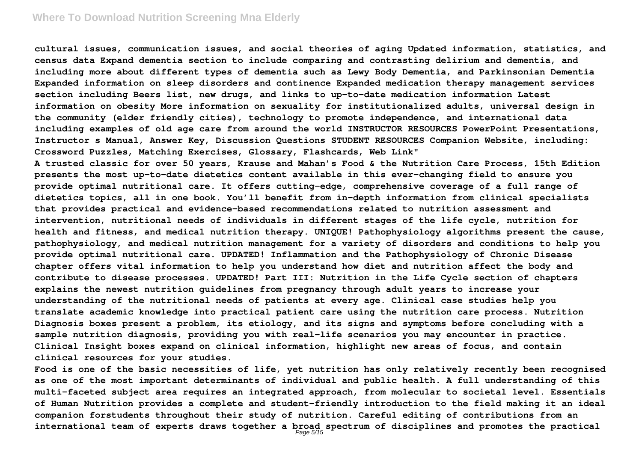#### **Where To Download Nutrition Screening Mna Elderly**

**cultural issues, communication issues, and social theories of aging Updated information, statistics, and census data Expand dementia section to include comparing and contrasting delirium and dementia, and including more about different types of dementia such as Lewy Body Dementia, and Parkinsonian Dementia Expanded information on sleep disorders and continence Expanded medication therapy management services section including Beers list, new drugs, and links to up-to-date medication information Latest information on obesity More information on sexuality for institutionalized adults, universal design in the community (elder friendly cities), technology to promote independence, and international data including examples of old age care from around the world INSTRUCTOR RESOURCES PowerPoint Presentations, Instructor s Manual, Answer Key, Discussion Questions STUDENT RESOURCES Companion Website, including: Crossword Puzzles, Matching Exercises, Glossary, Flashcards, Web Link"**

**A trusted classic for over 50 years, Krause and Mahan's Food & the Nutrition Care Process, 15th Edition presents the most up-to-date dietetics content available in this ever-changing field to ensure you provide optimal nutritional care. It offers cutting-edge, comprehensive coverage of a full range of dietetics topics, all in one book. You'll benefit from in-depth information from clinical specialists that provides practical and evidence-based recommendations related to nutrition assessment and intervention, nutritional needs of individuals in different stages of the life cycle, nutrition for health and fitness, and medical nutrition therapy. UNIQUE! Pathophysiology algorithms present the cause, pathophysiology, and medical nutrition management for a variety of disorders and conditions to help you provide optimal nutritional care. UPDATED! Inflammation and the Pathophysiology of Chronic Disease chapter offers vital information to help you understand how diet and nutrition affect the body and contribute to disease processes. UPDATED! Part III: Nutrition in the Life Cycle section of chapters explains the newest nutrition guidelines from pregnancy through adult years to increase your understanding of the nutritional needs of patients at every age. Clinical case studies help you translate academic knowledge into practical patient care using the nutrition care process. Nutrition Diagnosis boxes present a problem, its etiology, and its signs and symptoms before concluding with a sample nutrition diagnosis, providing you with real-life scenarios you may encounter in practice. Clinical Insight boxes expand on clinical information, highlight new areas of focus, and contain clinical resources for your studies.**

**Food is one of the basic necessities of life, yet nutrition has only relatively recently been recognised as one of the most important determinants of individual and public health. A full understanding of this multi-faceted subject area requires an integrated approach, from molecular to societal level. Essentials of Human Nutrition provides a complete and student-friendly introduction to the field making it an ideal companion forstudents throughout their study of nutrition. Careful editing of contributions from an international team of experts draws together a broad spectrum of disciplines and promotes the practical** Page 5/15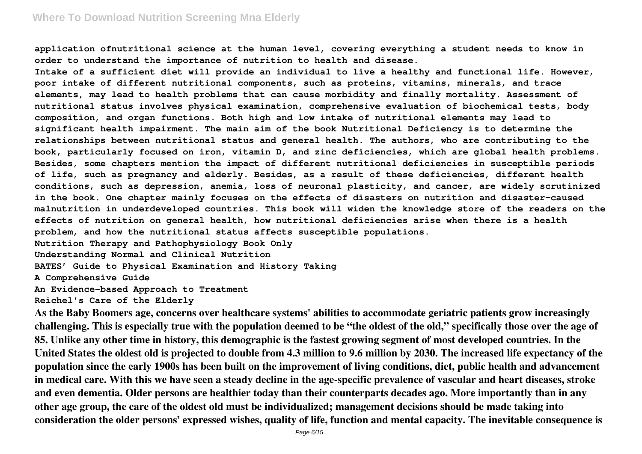**application ofnutritional science at the human level, covering everything a student needs to know in order to understand the importance of nutrition to health and disease.**

**Intake of a sufficient diet will provide an individual to live a healthy and functional life. However, poor intake of different nutritional components, such as proteins, vitamins, minerals, and trace elements, may lead to health problems that can cause morbidity and finally mortality. Assessment of nutritional status involves physical examination, comprehensive evaluation of biochemical tests, body composition, and organ functions. Both high and low intake of nutritional elements may lead to significant health impairment. The main aim of the book Nutritional Deficiency is to determine the relationships between nutritional status and general health. The authors, who are contributing to the book, particularly focused on iron, vitamin D, and zinc deficiencies, which are global health problems. Besides, some chapters mention the impact of different nutritional deficiencies in susceptible periods of life, such as pregnancy and elderly. Besides, as a result of these deficiencies, different health conditions, such as depression, anemia, loss of neuronal plasticity, and cancer, are widely scrutinized in the book. One chapter mainly focuses on the effects of disasters on nutrition and disaster-caused malnutrition in underdeveloped countries. This book will widen the knowledge store of the readers on the effects of nutrition on general health, how nutritional deficiencies arise when there is a health problem, and how the nutritional status affects susceptible populations.**

**Nutrition Therapy and Pathophysiology Book Only**

**Understanding Normal and Clinical Nutrition**

**BATES' Guide to Physical Examination and History Taking**

**A Comprehensive Guide**

**An Evidence-based Approach to Treatment**

**Reichel's Care of the Elderly**

**As the Baby Boomers age, concerns over healthcare systems' abilities to accommodate geriatric patients grow increasingly challenging. This is especially true with the population deemed to be "the oldest of the old," specifically those over the age of 85. Unlike any other time in history, this demographic is the fastest growing segment of most developed countries. In the United States the oldest old is projected to double from 4.3 million to 9.6 million by 2030. The increased life expectancy of the population since the early 1900s has been built on the improvement of living conditions, diet, public health and advancement in medical care. With this we have seen a steady decline in the age-specific prevalence of vascular and heart diseases, stroke and even dementia. Older persons are healthier today than their counterparts decades ago. More importantly than in any other age group, the care of the oldest old must be individualized; management decisions should be made taking into consideration the older persons' expressed wishes, quality of life, function and mental capacity. The inevitable consequence is**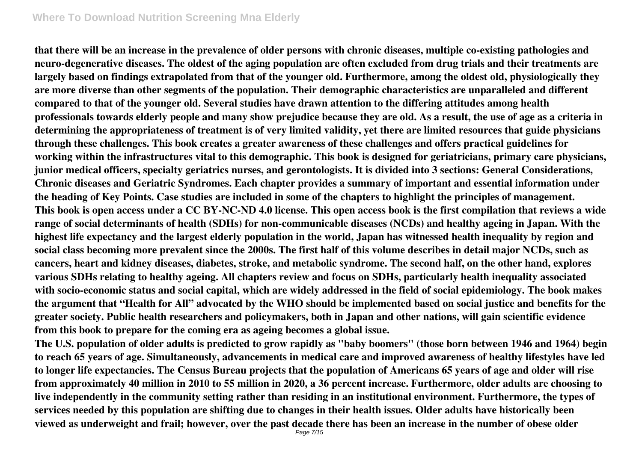## **Where To Download Nutrition Screening Mna Elderly**

**that there will be an increase in the prevalence of older persons with chronic diseases, multiple co-existing pathologies and neuro-degenerative diseases. The oldest of the aging population are often excluded from drug trials and their treatments are largely based on findings extrapolated from that of the younger old. Furthermore, among the oldest old, physiologically they are more diverse than other segments of the population. Their demographic characteristics are unparalleled and different compared to that of the younger old. Several studies have drawn attention to the differing attitudes among health professionals towards elderly people and many show prejudice because they are old. As a result, the use of age as a criteria in determining the appropriateness of treatment is of very limited validity, yet there are limited resources that guide physicians through these challenges. This book creates a greater awareness of these challenges and offers practical guidelines for working within the infrastructures vital to this demographic. This book is designed for geriatricians, primary care physicians, junior medical officers, specialty geriatrics nurses, and gerontologists. It is divided into 3 sections: General Considerations, Chronic diseases and Geriatric Syndromes. Each chapter provides a summary of important and essential information under the heading of Key Points. Case studies are included in some of the chapters to highlight the principles of management. This book is open access under a CC BY-NC-ND 4.0 license. This open access book is the first compilation that reviews a wide range of social determinants of health (SDHs) for non-communicable diseases (NCDs) and healthy ageing in Japan. With the highest life expectancy and the largest elderly population in the world, Japan has witnessed health inequality by region and social class becoming more prevalent since the 2000s. The first half of this volume describes in detail major NCDs, such as cancers, heart and kidney diseases, diabetes, stroke, and metabolic syndrome. The second half, on the other hand, explores various SDHs relating to healthy ageing. All chapters review and focus on SDHs, particularly health inequality associated with socio-economic status and social capital, which are widely addressed in the field of social epidemiology. The book makes the argument that "Health for All" advocated by the WHO should be implemented based on social justice and benefits for the greater society. Public health researchers and policymakers, both in Japan and other nations, will gain scientific evidence from this book to prepare for the coming era as ageing becomes a global issue.**

**The U.S. population of older adults is predicted to grow rapidly as "baby boomers" (those born between 1946 and 1964) begin to reach 65 years of age. Simultaneously, advancements in medical care and improved awareness of healthy lifestyles have led to longer life expectancies. The Census Bureau projects that the population of Americans 65 years of age and older will rise from approximately 40 million in 2010 to 55 million in 2020, a 36 percent increase. Furthermore, older adults are choosing to live independently in the community setting rather than residing in an institutional environment. Furthermore, the types of services needed by this population are shifting due to changes in their health issues. Older adults have historically been viewed as underweight and frail; however, over the past decade there has been an increase in the number of obese older**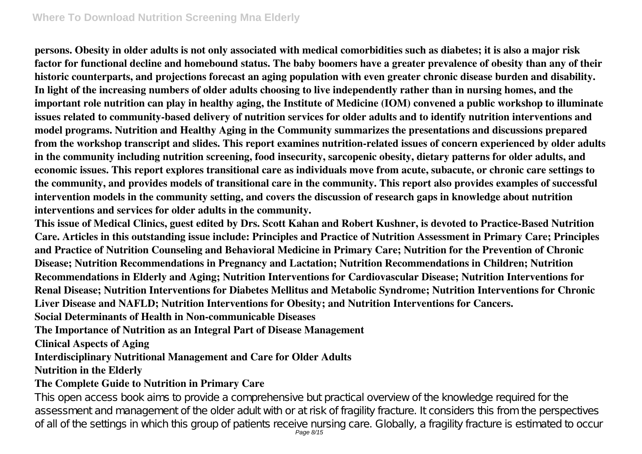## **Where To Download Nutrition Screening Mna Elderly**

**persons. Obesity in older adults is not only associated with medical comorbidities such as diabetes; it is also a major risk factor for functional decline and homebound status. The baby boomers have a greater prevalence of obesity than any of their historic counterparts, and projections forecast an aging population with even greater chronic disease burden and disability. In light of the increasing numbers of older adults choosing to live independently rather than in nursing homes, and the important role nutrition can play in healthy aging, the Institute of Medicine (IOM) convened a public workshop to illuminate issues related to community-based delivery of nutrition services for older adults and to identify nutrition interventions and model programs. Nutrition and Healthy Aging in the Community summarizes the presentations and discussions prepared from the workshop transcript and slides. This report examines nutrition-related issues of concern experienced by older adults in the community including nutrition screening, food insecurity, sarcopenic obesity, dietary patterns for older adults, and economic issues. This report explores transitional care as individuals move from acute, subacute, or chronic care settings to the community, and provides models of transitional care in the community. This report also provides examples of successful intervention models in the community setting, and covers the discussion of research gaps in knowledge about nutrition interventions and services for older adults in the community.**

**This issue of Medical Clinics, guest edited by Drs. Scott Kahan and Robert Kushner, is devoted to Practice-Based Nutrition Care. Articles in this outstanding issue include: Principles and Practice of Nutrition Assessment in Primary Care; Principles and Practice of Nutrition Counseling and Behavioral Medicine in Primary Care; Nutrition for the Prevention of Chronic Disease; Nutrition Recommendations in Pregnancy and Lactation; Nutrition Recommendations in Children; Nutrition Recommendations in Elderly and Aging; Nutrition Interventions for Cardiovascular Disease; Nutrition Interventions for Renal Disease; Nutrition Interventions for Diabetes Mellitus and Metabolic Syndrome; Nutrition Interventions for Chronic Liver Disease and NAFLD; Nutrition Interventions for Obesity; and Nutrition Interventions for Cancers.**

**Social Determinants of Health in Non-communicable Diseases**

**The Importance of Nutrition as an Integral Part of Disease Management**

**Clinical Aspects of Aging**

**Interdisciplinary Nutritional Management and Care for Older Adults**

#### **Nutrition in the Elderly**

### **The Complete Guide to Nutrition in Primary Care**

This open access book aims to provide a comprehensive but practical overview of the knowledge required for the assessment and management of the older adult with or at risk of fragility fracture. It considers this from the perspectives of all of the settings in which this group of patients receive nursing care. Globally, a fragility fracture is estimated to occur<br>Page 8/15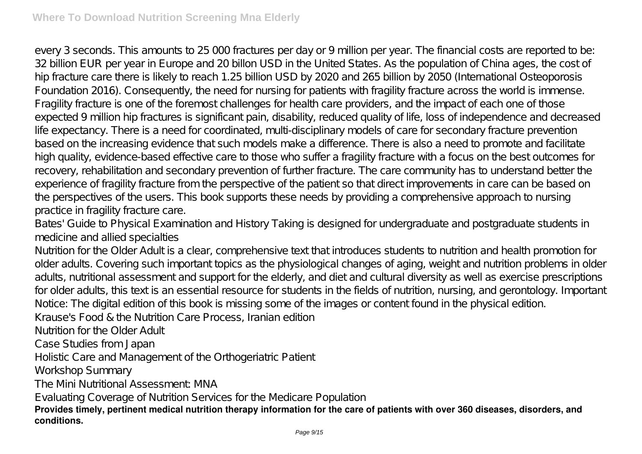every 3 seconds. This amounts to 25 000 fractures per day or 9 million per year. The financial costs are reported to be: 32 billion EUR per year in Europe and 20 billon USD in the United States. As the population of China ages, the cost of hip fracture care there is likely to reach 1.25 billion USD by 2020 and 265 billion by 2050 (International Osteoporosis Foundation 2016). Consequently, the need for nursing for patients with fragility fracture across the world is immense. Fragility fracture is one of the foremost challenges for health care providers, and the impact of each one of those expected 9 million hip fractures is significant pain, disability, reduced quality of life, loss of independence and decreased life expectancy. There is a need for coordinated, multi-disciplinary models of care for secondary fracture prevention based on the increasing evidence that such models make a difference. There is also a need to promote and facilitate high quality, evidence-based effective care to those who suffer a fragility fracture with a focus on the best outcomes for recovery, rehabilitation and secondary prevention of further fracture. The care community has to understand better the experience of fragility fracture from the perspective of the patient so that direct improvements in care can be based on the perspectives of the users. This book supports these needs by providing a comprehensive approach to nursing practice in fragility fracture care.

Bates' Guide to Physical Examination and History Taking is designed for undergraduate and postgraduate students in medicine and allied specialties

Nutrition for the Older Adult is a clear, comprehensive text that introduces students to nutrition and health promotion for older adults. Covering such important topics as the physiological changes of aging, weight and nutrition problems in older adults, nutritional assessment and support for the elderly, and diet and cultural diversity as well as exercise prescriptions for older adults, this text is an essential resource for students in the fields of nutrition, nursing, and gerontology. Important Notice: The digital edition of this book is missing some of the images or content found in the physical edition.

Krause's Food & the Nutrition Care Process, Iranian edition

Nutrition for the Older Adult

Case Studies from Japan

Holistic Care and Management of the Orthogeriatric Patient

Workshop Summary

The Mini Nutritional Assessment: MNA

Evaluating Coverage of Nutrition Services for the Medicare Population

**Provides timely, pertinent medical nutrition therapy information for the care of patients with over 360 diseases, disorders, and conditions.**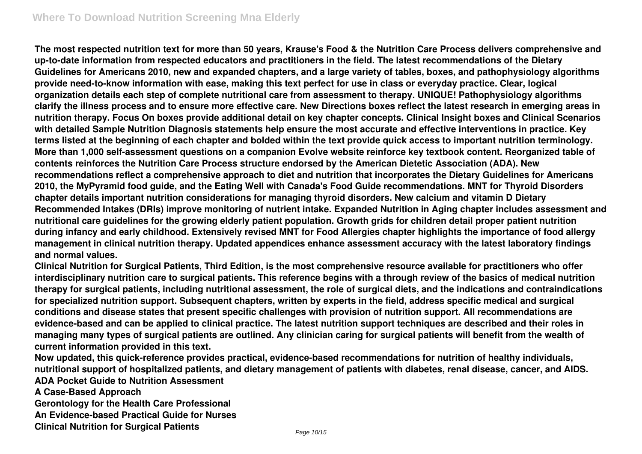**The most respected nutrition text for more than 50 years, Krause's Food & the Nutrition Care Process delivers comprehensive and up-to-date information from respected educators and practitioners in the field. The latest recommendations of the Dietary Guidelines for Americans 2010, new and expanded chapters, and a large variety of tables, boxes, and pathophysiology algorithms provide need-to-know information with ease, making this text perfect for use in class or everyday practice. Clear, logical organization details each step of complete nutritional care from assessment to therapy. UNIQUE! Pathophysiology algorithms clarify the illness process and to ensure more effective care. New Directions boxes reflect the latest research in emerging areas in nutrition therapy. Focus On boxes provide additional detail on key chapter concepts. Clinical Insight boxes and Clinical Scenarios with detailed Sample Nutrition Diagnosis statements help ensure the most accurate and effective interventions in practice. Key terms listed at the beginning of each chapter and bolded within the text provide quick access to important nutrition terminology. More than 1,000 self-assessment questions on a companion Evolve website reinforce key textbook content. Reorganized table of contents reinforces the Nutrition Care Process structure endorsed by the American Dietetic Association (ADA). New recommendations reflect a comprehensive approach to diet and nutrition that incorporates the Dietary Guidelines for Americans 2010, the MyPyramid food guide, and the Eating Well with Canada's Food Guide recommendations. MNT for Thyroid Disorders chapter details important nutrition considerations for managing thyroid disorders. New calcium and vitamin D Dietary Recommended Intakes (DRIs) improve monitoring of nutrient intake. Expanded Nutrition in Aging chapter includes assessment and nutritional care guidelines for the growing elderly patient population. Growth grids for children detail proper patient nutrition during infancy and early childhood. Extensively revised MNT for Food Allergies chapter highlights the importance of food allergy management in clinical nutrition therapy. Updated appendices enhance assessment accuracy with the latest laboratory findings and normal values.**

**Clinical Nutrition for Surgical Patients, Third Edition, is the most comprehensive resource available for practitioners who offer interdisciplinary nutrition care to surgical patients. This reference begins with a through review of the basics of medical nutrition therapy for surgical patients, including nutritional assessment, the role of surgical diets, and the indications and contraindications for specialized nutrition support. Subsequent chapters, written by experts in the field, address specific medical and surgical conditions and disease states that present specific challenges with provision of nutrition support. All recommendations are evidence-based and can be applied to clinical practice. The latest nutrition support techniques are described and their roles in managing many types of surgical patients are outlined. Any clinician caring for surgical patients will benefit from the wealth of current information provided in this text.**

**Now updated, this quick-reference provides practical, evidence-based recommendations for nutrition of healthy individuals, nutritional support of hospitalized patients, and dietary management of patients with diabetes, renal disease, cancer, and AIDS. ADA Pocket Guide to Nutrition Assessment**

**A Case-Based Approach Gerontology for the Health Care Professional An Evidence-based Practical Guide for Nurses Clinical Nutrition for Surgical Patients**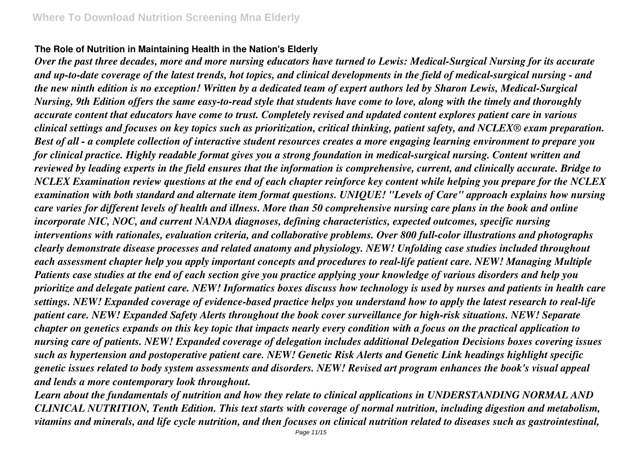#### **The Role of Nutrition in Maintaining Health in the Nation's Elderly**

*Over the past three decades, more and more nursing educators have turned to Lewis: Medical-Surgical Nursing for its accurate and up-to-date coverage of the latest trends, hot topics, and clinical developments in the field of medical-surgical nursing - and the new ninth edition is no exception! Written by a dedicated team of expert authors led by Sharon Lewis, Medical-Surgical Nursing, 9th Edition offers the same easy-to-read style that students have come to love, along with the timely and thoroughly accurate content that educators have come to trust. Completely revised and updated content explores patient care in various clinical settings and focuses on key topics such as prioritization, critical thinking, patient safety, and NCLEX® exam preparation. Best of all - a complete collection of interactive student resources creates a more engaging learning environment to prepare you for clinical practice. Highly readable format gives you a strong foundation in medical-surgical nursing. Content written and reviewed by leading experts in the field ensures that the information is comprehensive, current, and clinically accurate. Bridge to NCLEX Examination review questions at the end of each chapter reinforce key content while helping you prepare for the NCLEX examination with both standard and alternate item format questions. UNIQUE! "Levels of Care" approach explains how nursing care varies for different levels of health and illness. More than 50 comprehensive nursing care plans in the book and online incorporate NIC, NOC, and current NANDA diagnoses, defining characteristics, expected outcomes, specific nursing interventions with rationales, evaluation criteria, and collaborative problems. Over 800 full-color illustrations and photographs clearly demonstrate disease processes and related anatomy and physiology. NEW! Unfolding case studies included throughout each assessment chapter help you apply important concepts and procedures to real-life patient care. NEW! Managing Multiple Patients case studies at the end of each section give you practice applying your knowledge of various disorders and help you prioritize and delegate patient care. NEW! Informatics boxes discuss how technology is used by nurses and patients in health care settings. NEW! Expanded coverage of evidence-based practice helps you understand how to apply the latest research to real-life patient care. NEW! Expanded Safety Alerts throughout the book cover surveillance for high-risk situations. NEW! Separate chapter on genetics expands on this key topic that impacts nearly every condition with a focus on the practical application to nursing care of patients. NEW! Expanded coverage of delegation includes additional Delegation Decisions boxes covering issues such as hypertension and postoperative patient care. NEW! Genetic Risk Alerts and Genetic Link headings highlight specific genetic issues related to body system assessments and disorders. NEW! Revised art program enhances the book's visual appeal and lends a more contemporary look throughout.*

*Learn about the fundamentals of nutrition and how they relate to clinical applications in UNDERSTANDING NORMAL AND CLINICAL NUTRITION, Tenth Edition. This text starts with coverage of normal nutrition, including digestion and metabolism, vitamins and minerals, and life cycle nutrition, and then focuses on clinical nutrition related to diseases such as gastrointestinal,*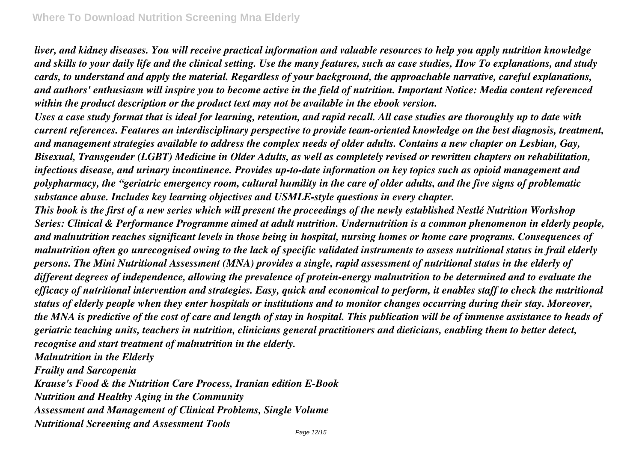*liver, and kidney diseases. You will receive practical information and valuable resources to help you apply nutrition knowledge and skills to your daily life and the clinical setting. Use the many features, such as case studies, How To explanations, and study cards, to understand and apply the material. Regardless of your background, the approachable narrative, careful explanations, and authors' enthusiasm will inspire you to become active in the field of nutrition. Important Notice: Media content referenced within the product description or the product text may not be available in the ebook version.*

*Uses a case study format that is ideal for learning, retention, and rapid recall. All case studies are thoroughly up to date with current references. Features an interdisciplinary perspective to provide team-oriented knowledge on the best diagnosis, treatment, and management strategies available to address the complex needs of older adults. Contains a new chapter on Lesbian, Gay, Bisexual, Transgender (LGBT) Medicine in Older Adults, as well as completely revised or rewritten chapters on rehabilitation, infectious disease, and urinary incontinence. Provides up-to-date information on key topics such as opioid management and polypharmacy, the "geriatric emergency room, cultural humility in the care of older adults, and the five signs of problematic substance abuse. Includes key learning objectives and USMLE-style questions in every chapter.*

*This book is the first of a new series which will present the proceedings of the newly established Nestlé Nutrition Workshop Series: Clinical & Performance Programme aimed at adult nutrition. Undernutrition is a common phenomenon in elderly people, and malnutrition reaches significant levels in those being in hospital, nursing homes or home care programs. Consequences of malnutrition often go unrecognised owing to the lack of specific validated instruments to assess nutritional status in frail elderly persons. The Mini Nutritional Assessment (MNA) provides a single, rapid assessment of nutritional status in the elderly of different degrees of independence, allowing the prevalence of protein-energy malnutrition to be determined and to evaluate the efficacy of nutritional intervention and strategies. Easy, quick and economical to perform, it enables staff to check the nutritional status of elderly people when they enter hospitals or institutions and to monitor changes occurring during their stay. Moreover, the MNA is predictive of the cost of care and length of stay in hospital. This publication will be of immense assistance to heads of geriatric teaching units, teachers in nutrition, clinicians general practitioners and dieticians, enabling them to better detect, recognise and start treatment of malnutrition in the elderly.*

*Malnutrition in the Elderly Frailty and Sarcopenia Krause's Food & the Nutrition Care Process, Iranian edition E-Book Nutrition and Healthy Aging in the Community Assessment and Management of Clinical Problems, Single Volume Nutritional Screening and Assessment Tools*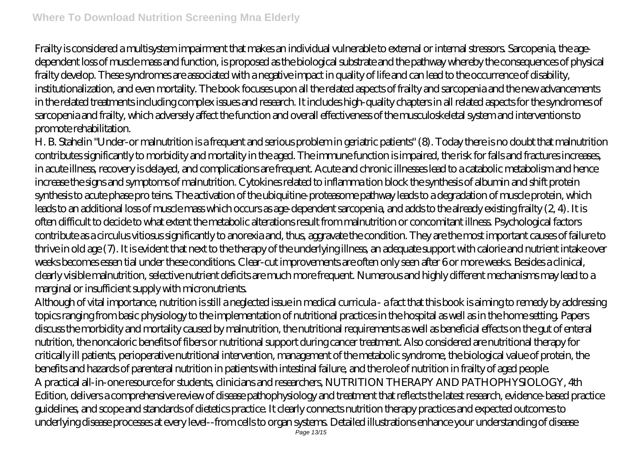Frailty is considered a multisystem impairment that makes an individual vulnerable to external or internal stressors. Sarcopenia, the agedependent loss of muscle mass and function, is proposed as the biological substrate and the pathway whereby the consequences of physical frailty develop. These syndromes are associated with a negative impact in quality of life and can lead to the occurrence of disability, institutionalization, and even mortality. The book focuses upon all the related aspects of frailty and sarcopenia and the new advancements in the related treatments including complex issues and research. It includes high-quality chapters in all related aspects for the syndromes of sarcopenia and frailty, which adversely affect the function and overall effectiveness of the musculoskeletal system and interventions to promote rehabilitation.

H. B. Stahelin "Under-or malnutrition is a frequent and serious problem in geriatric patients" (8). Today there is no doubt that malnutrition contributes significantly to morbidity and mortality in the aged. The immune function is impaired, the risk for falls and fractures increases, in acute illness, recovery is delayed, and complications are frequent. Acute and chronic illnesses lead to a catabolic metabolism and hence increase the signs and symptoms of malnutrition. Cytokines related to inflamma tion block the synthesis of albumin and shift protein synthesis to acute phase pro teins. The activation of the ubiquitine-proteasome pathway leads to a degradation of muscle protein, which leads to an additional loss of muscle mass which occurs as age-dependent sarcopenia, and adds to the already existing frailty (2, 4). It is often difficult to decide to what extent the metabolic alterations result from malnutrition or concomitant illness. Psychological factors contribute as a circulus vitiosus significantly to anorexia and, thus, aggravate the condition. They are the most important causes of failure to thrive in old age (7). It is evident that next to the therapy of the underlying illness, an adequate support with calorie and nutrient intake over weeks becomes essen tial under these conditions. Clear-cut improvements are often only seen after 6 or more weeks. Besides a clinical, clearly visible malnutrition, selective nutrient deficits are much more frequent. Numerous and highly different mechanisms may lead to a marginal or insufficient supply with micronutrients.

Although of vital importance, nutrition is still a neglected issue in medical curricula - a fact that this book is aiming to remedy by addressing topics ranging from basic physiology to the implementation of nutritional practices in the hospital as well as in the home setting. Papers discuss the morbidity and mortality caused by malnutrition, the nutritional requirements as well as beneficial effects on the gut of enteral nutrition, the noncaloric benefits of fibers or nutritional support during cancer treatment. Also considered are nutritional therapy for critically ill patients, perioperative nutritional intervention, management of the metabolic syndrome, the biological value of protein, the benefits and hazards of parenteral nutrition in patients with intestinal failure, and the role of nutrition in frailty of aged people. A practical all-in-one resource for students, clinicians and researchers, NUTRITION THERAPY AND PATHOPHYSIOLOGY, 4th Edition, delivers a comprehensive review of disease pathophysiology and treatment that reflects the latest research, evidence-based practice guidelines, and scope and standards of dietetics practice. It clearly connects nutrition therapy practices and expected outcomes to underlying disease processes at every level--from cells to organ systems. Detailed illustrations enhance your understanding of disease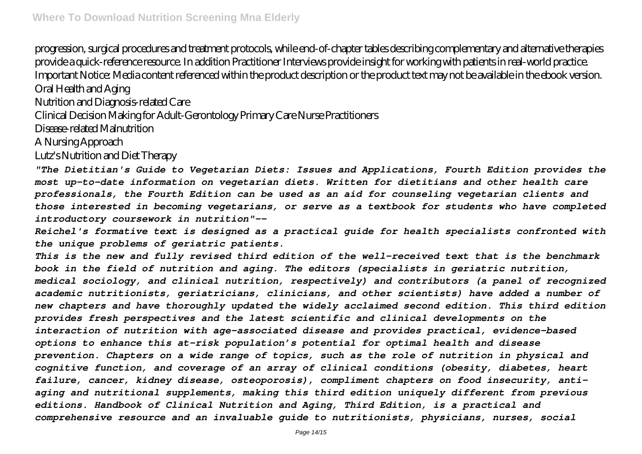progression, surgical procedures and treatment protocols, while end-of-chapter tables describing complementary and alternative therapies provide a quick-reference resource. In addition Practitioner Interviews provide insight for working with patients in real-world practice. Important Notice: Media content referenced within the product description or the product text may not be available in the ebook version. Oral Health and Aging

Nutrition and Diagnosis-related Care

Clinical Decision Making for Adult-Gerontology Primary Care Nurse Practitioners

Disease-related Malnutrition

A Nursing Approach

Lutz's Nutrition and Diet Therapy

*"The Dietitian's Guide to Vegetarian Diets: Issues and Applications, Fourth Edition provides the most up-to-date information on vegetarian diets. Written for dietitians and other health care professionals, the Fourth Edition can be used as an aid for counseling vegetarian clients and those interested in becoming vegetarians, or serve as a textbook for students who have completed introductory coursework in nutrition"--*

*Reichel's formative text is designed as a practical guide for health specialists confronted with the unique problems of geriatric patients.*

*This is the new and fully revised third edition of the well-received text that is the benchmark book in the field of nutrition and aging. The editors (specialists in geriatric nutrition, medical sociology, and clinical nutrition, respectively) and contributors (a panel of recognized academic nutritionists, geriatricians, clinicians, and other scientists) have added a number of new chapters and have thoroughly updated the widely acclaimed second edition. This third edition provides fresh perspectives and the latest scientific and clinical developments on the interaction of nutrition with age-associated disease and provides practical, evidence-based options to enhance this at-risk population's potential for optimal health and disease prevention. Chapters on a wide range of topics, such as the role of nutrition in physical and cognitive function, and coverage of an array of clinical conditions (obesity, diabetes, heart failure, cancer, kidney disease, osteoporosis), compliment chapters on food insecurity, antiaging and nutritional supplements, making this third edition uniquely different from previous editions. Handbook of Clinical Nutrition and Aging, Third Edition, is a practical and comprehensive resource and an invaluable guide to nutritionists, physicians, nurses, social*